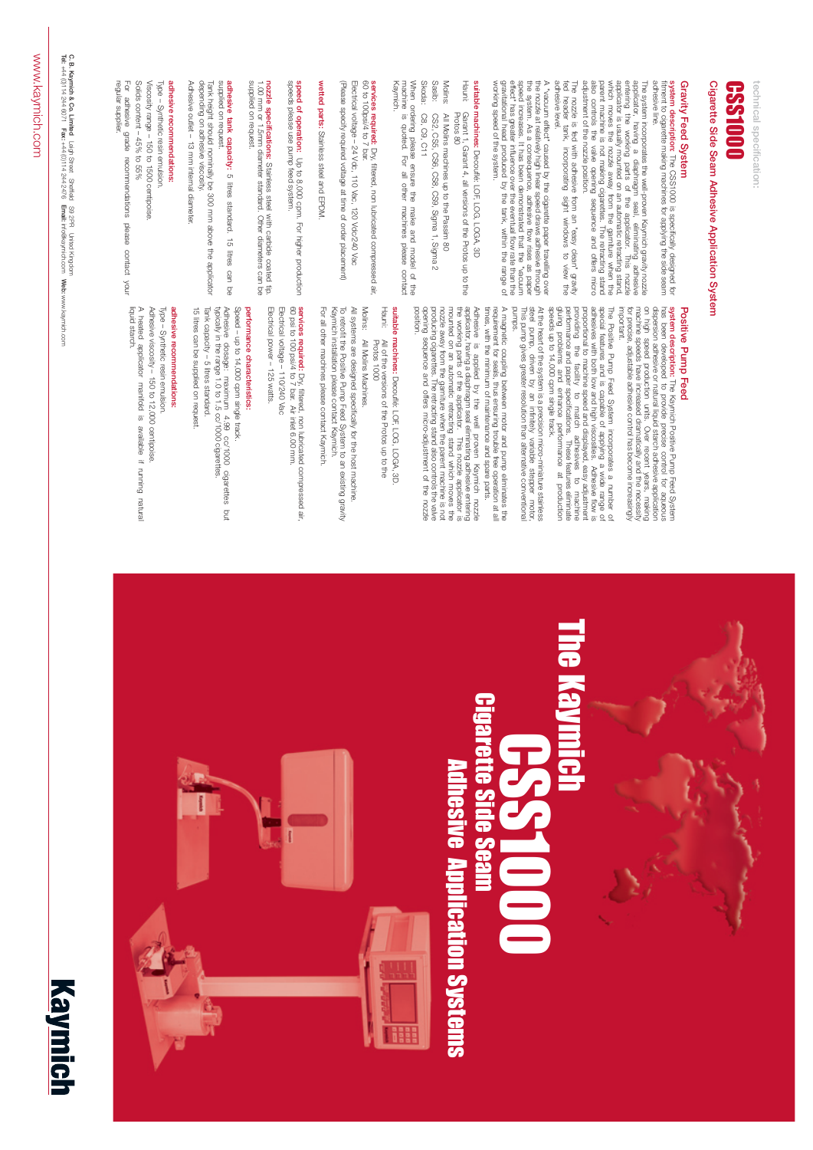**C. B. Kaymich & Co. Limited** 

Leigh Street Sheffield S9 2PR United Kingdom

**Tel:**

+44 (0)114 244 6071

**Fax:**

+44 (0)114 244 2476

**Email:**

info@kaymich.com

**Web:**

### Gravity Feed System **Gravity Feed System**

www.kaymich.com







Cigarette Side Seam Adhesive Application System **Cigarette Side Seam Adhesive Application System** technical specification: **technical specification:** 

system description: The CSS1000 is specifically designed for<br>fitment to cigarette making machines for applying the side seam adhesive line. adhesive line. fitment to cigarette making machines for applying the side seam **system description:** The CSS1000 is specifically designed for

The system incorporates the well-proven Kaymich gravity nozzle applicator, having a diaphragm seal, eliminating adhesive entering the working parts of the applicator. This nozzle entering the working parts of the applicato osje adjustment of the nozzle position. adjustment of the nozzle position. also controls the valve opening sequence and offers micro which moves the nozzle away from the garniture when the applicator is usually mounted on an automatic retracting stand, entering the working parts of the applicator. This nozzle applicator, having a diaphragm seal, eliminating adhesive The system incorporates the well-proven Kaymich gravity nozzle parent machine is not making cigarettes. The retracting stand controls the valve opening sequence and offers micro



# CSS1000

effect" has greater influence over the eventual flow rate than the<br>gravitational head produced by the tank, within the range of A "vacuum effect" caused by the cigarette paper travelling over the nozzle at relatively high linear speed clraws achesive through the nozzle at relatively high linear speed clraws achesive through the system. As a consequ working speed of the system. working speed of the system. gravitational head produced by the tank, within the range of effect" has greater influence over the eventual flow rate than the speed increases. It has been demonstrated that the "vacuum the system. As a consequence, adhesive flow rises as paper the nozzle at relatively high linear speed draws adhesive through A "vacuum effect" caused by the cigarette paper travelling over

adhesive level. adhesive level. The nozzle is fed with adhesive from an "easy clean" gravity<br>fed header tank, incorporating sight windows to view the fed header tank, incorporating sight windows to view the The nozzle is fed with adhesive from an "easy clean" gravity

# suitable machines: Decouflé: LOF, LOG, LOGA, 3D **suitable machines:** Decouflé: LOF, LOG, LOGA, 3D

When ordering please ensure the make and model of the<br>machine is quoted. For all other machines please contact<br>Kaymich. machine is quoted. For all other machines please contact When ordering please ensure the make and model of the

services required: Dry, filtered, non lubricated compressed air.<br>60 to 100psi/4 to 7 bar. 60 to 100psi/4 to 7 bar. **services required:** Dry, filtered, non lubricated compressed air,

(Please specify required voltage at time of order placement) (Please specify required voltage at time of order placement) Electrical voltage - 24 Vdc, 110 Vac, 120 Vdc/240 Vac Electrical voltage – 24 Vdc, 110 Vac, 120 Vdc/240 Vac

wetted parts: Stainless steel and EPDM. **wetted parts:** Stainless steel and EPDM.

**speed of operation:** Up to 8,000 cpm. For higher production<br>speeds please use pump feed system. speeds please use pump feed system. **speed of operation:** Up to 8,000 cpm. For higher production

supplied on request supplied on request. **nozzle specifications:** Stainless steel with carbide coated tip.<br>1.00 mm or 1.5mm diameter standard. Other diameters can be 1.00 mm or 1.5mm diameter standard. Other diameters **nozzle specifications:** Stainless steel with carbide coated tip.

supplied on request. supplied on request. adhesive tank capacity: 5 litres standard. 15 litres can be **adhesive tank capacity:** 5 litres standard. 15 litres can be

Tank height should nominally be 300 mm above the applicator<br>depending on adhesive viscosity. Adhesive outlet - 13 mm internal diameter. Adhesive outlet – 13 mm internal diameter. depending on adhesive viscosity. nk height should nominally be 300 mm above the applicator

### adhesive recommendations: **adhesive recommendations:**

For adhesive grade recommendations please contact your Solids content - 45% to 55% Solids content – 45% to 55% Viscosity range - 150 to 1500 centipoise. Viscosity range – 150 to 1500 centipoise. Type - Synthetic resin emulsion For adhesive grade recommendations please contact your pe – Synthetic resin emulsion.

## Positive Pump Feed **Positive Pump Feed**

At the heart of the system is a precision micro-miniature stainless<br>steel pump, driven by an infinitely variable stepper motor,<br>This pump gives greater resolution than alternative conventional<br>pumps. This pump gives greater resolution than alternative conventional steel pump, driven by an infinitely variable stepper motor, At the heart of the system is a precision micro-miniature stainless

- Hauni:Protos 80 Protos 80 Garant 1, Garant 4, all versions of the Protos up to the Garant 1, Garant 4, all versions of the Protos up to the
- Molins:All Molins machines up to the Passim 80 All Molins machines up to the Passim 80
- Sasib:CS2, CS5, CS6, CS8, CS9, Sigma 1, Sigma 2 CS2, CS5, CS6, CS8, CS9, Sigma 1, Sigma 2
- Skoda:C8, C9, C11 C8, C9, C11

providing the facility to match adhesives to machine performance and paper specifications. These features eliminate glung problem specifications. These features eliminate glung problem on The Positive Pump Feed System incorporates a number of special features and is capable of applying a wide range of aphesives with both low and high viscosities. Adhesive flow is proportional to machine speed and displayed, speeds up to 14,000 cpm single track. speeds up to 14,000 cpm single track. gluing problems and enhance performance at production performance and paper specifications. These features eliminate providing the facility to match adhesives to machine proportional to machine speed and displayed, easy adjustment adhesives with both low and high viscosities. Adhesive flow is special features and is capable of applying a wide range of The Positive Pump Feed System incorporates a number of

**The K** 

Adhesive is applied by the well proven Kaymich nozzle<br>applicator, having a diaphragm seal eliminating adhesive entering<br>the working parts of the applicator. This nozzle applicator is<br>the working parts of the applicator. Th opening sequence and offers micro-adjustment of the nozzle producing cigarettes. The retracting stand also controls the valve nozzle away from the garniture when the parent machine is not mounted on an automatic retracting stand which moves the the working parts of the applicator. This nozzle applicator is applicator, having a diaphragm seal eliminating adhesive entering Adhesive is applied by the well proven Kaymich nozzle

A magnetic coupling between motor and pump eliminates the requirement for seals, thus ensuring trouble free operation at all<br>requirement for seals, thus ensuring trouble free operation at all<br>times, with the minimum of mai A magnetic coupling between motor and pump eliminates the equirement for seals, thus ensuring trouble free operation at all times, with the minimum of maintenance and spare parts.

suitable machines: Decouflé: LOF, LOG, LOGA, 3D **suitable machines:**  Decouflé: LOF, LOG, LOGA, 3D.

For all other machines please contact Kaymich. To retrofit the Positive Pump Feed System to an existing gravity<br>Kaymich installation please contact Kaymich. All systems are designed specifically for the host machine. All systems are designed specifically for the host machine. For all other machines please contact Kaymich. Kaymich installation please contact Kaymich. retrofit the Positive Pump Feed System to an existing gravity

services required: Dry, filtered, non lubricated compressed air,<br>60 psi to 100 psl/4 to 7 bar. Air inlet 6.00 mm.<br>Electrical voltage - 110/240 Vac 60 psi to 100 psi/4 to 7 bar. Air inlet 6.00 mm. **services required:** Electrical voltage – 110/240 Vac Dry, filtered, non lubricated compressed air,

# performance characteristics: **performance characteristics:**

Electrical power - 125 watts. Electrical power – 125 watts.

Tank capacity - 5 litres standard. Adhesive dosage: maximum 4.99 cc/1000 cigarettes but<br>hpically in the range 1.0 to 1.5 cc/1000 cigarettes. Speed - up to 14,000 cpm single track. 15 litres can be supplied on request. typically in the range 1.0 to 1.5 cc/1000 cigarettes. Adhesive dosage: maximum 4.99 cc/1000 cigarettes but Speed – up to 14,000 cpm single track. nk capacity – 5 litres standard.

### adhesive recommendations: **adhesive recommendations:**

liquid starch Type - Synthetic resin emulsion. liquid starch. A heated applicator manifold is available if running natural A heated applicator manifold is available if running natural Adhesive viscosity - 150 to 12,000 centipoise. Adhesive viscosity – 150 to 12,000 centipoise.ype – Synthetic resin emulsion.

regular supplier.

regular supplier

**system description:**  The Kaymich Positive Pump Feed System **system description:** The Kaymich Positive Pump Feed System<br>has been developed to provide precise control for aqueous<br>dispersion adhesive or natural liquid starch adhesive application<br>on high speed production units. Over r for precise, adjustable adhesive control has become increasingly machine speeds have increased dramatically and the necessity on high speed production units. Over recent years, making dispersion adhesive or natural liquid starch adhesive application has been developed to provide precise control for aqueous

Hauni:All of the versions of the Protos up to the<br>Protos 1000 All of the versions of the Protos up to the Protos 1000

Molins:All Molins Machines. All Molins Machines.

15 litres can be supplied on request.